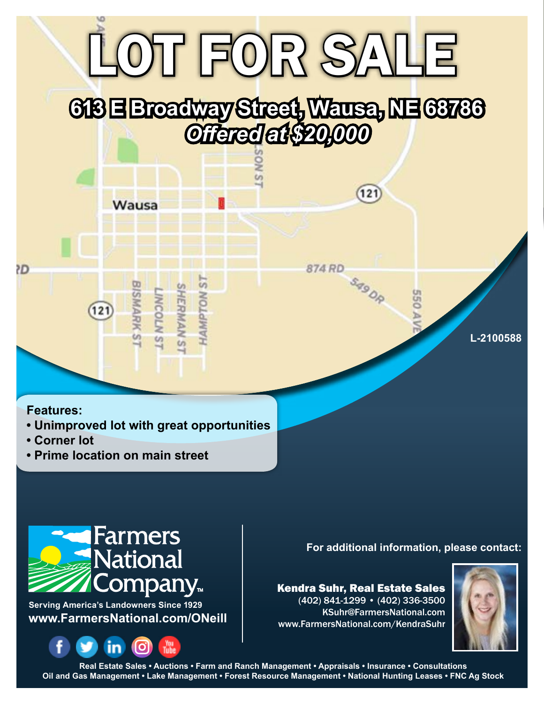## OT FOR SALE

## **613 E Broadway Street, Wausa, NE 68786** *Offered at \$20,000*

**Features:**

Œ

**• Unimproved lot with great opportunities**

**LS NOLIGINAN ST<br>SHERMAN ST<br>LINCOLN ST<br>BISMARK ST** 

Wausa

- **Corner lot**
- **Prime location on main street**

 $121$ 



**www.FarmersNational.com/ONeill Serving America's Landowners Since 1929**



**For additional information, please contact:**

Kendra Suhr, Real Estate Sales (402) 841-1299 • (402) 336-3500 KSuhr@FarmersNational.com www.FarmersNational.com/KendraSuhr

121

SASOR

**550 A** 

**874 RD** 



**L-2100588**

**Real Estate Sales • Auctions • Farm and Ranch Management • Appraisals • Insurance • Consultations Oil and Gas Management • Lake Management • Forest Resource Management • National Hunting Leases • FNC Ag Stock**